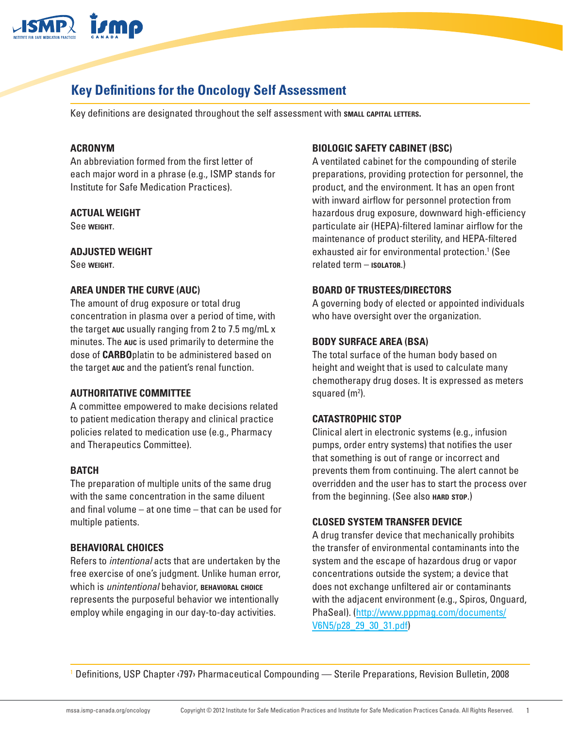

# **Key Definitions for the Oncology Self Assessment**

Key definitions are designated throughout the self assessment with **small capital letters.**

# **ACRONYM**

An abbreviation formed from the first letter of each major word in a phrase (e.g., ISMP stands for Institute for Safe Medication Practices).

### **ACTUAL WEIGHT**

See **weight**.

### **ADJUSTED WEIGHT**

See **weight**.

### **AREA UNDER THE CURVE (AUC)**

The amount of drug exposure or total drug concentration in plasma over a period of time, with the target **auc** usually ranging from 2 to 7.5 mg/mL x minutes. The **auc** is used primarily to determine the dose of **CARBO**platin to be administered based on the target **auc** and the patient's renal function.

### **AUTHORITATIVE COMMITTEE**

A committee empowered to make decisions related to patient medication therapy and clinical practice policies related to medication use (e.g., Pharmacy and Therapeutics Committee).

## **BATCH**

The preparation of multiple units of the same drug with the same concentration in the same diluent and final volume – at one time – that can be used for multiple patients.

### **BEHAVIORAL CHOICES**

Refers to *intentional* acts that are undertaken by the free exercise of one's judgment. Unlike human error, which is *unintentional* behavior, **behavioral choice** represents the purposeful behavior we intentionally employ while engaging in our day-to-day activities.

### **BIOLOGIC SAFETY CABINET (BSC)**

A ventilated cabinet for the compounding of sterile preparations, providing protection for personnel, the product, and the environment. It has an open front with inward airflow for personnel protection from hazardous drug exposure, downward high-efficiency particulate air (HEPA)-filtered laminar airflow for the maintenance of product sterility, and HEPA-filtered exhausted air for environmental protection.<sup>1</sup> (See related term – **isolator**.)

### **BOARD OF TRUSTEES/DIRECTORS**

A governing body of elected or appointed individuals who have oversight over the organization.

### **BODY SURFACE AREA (BSA)**

The total surface of the human body based on height and weight that is used to calculate many chemotherapy drug doses. It is expressed as meters squared (m<sup>2</sup>).

### **CATASTROPHIC STOP**

Clinical alert in electronic systems (e.g., infusion pumps, order entry systems) that notifies the user that something is out of range or incorrect and prevents them from continuing. The alert cannot be overridden and the user has to start the process over from the beginning. (See also **HARD** STOP.)

### **CLOSED SYSTEM TRANSFER DEVICE**

A drug transfer device that mechanically prohibits the transfer of environmental contaminants into the system and the escape of hazardous drug or vapor concentrations outside the system; a device that does not exchange unfiltered air or contaminants with the adjacent environment (e.g., Spiros, Onguard, PhaSeal). [\(http://www.pppmag.com/documents/](http://www.pppmag.com/documents/V6N5/p28_29_30_31.pdf) [V6N5/p28\\_29\\_30\\_31.pdf\)](http://www.pppmag.com/documents/V6N5/p28_29_30_31.pdf)

1 Definitions, USP Chapter ‹797› Pharmaceutical Compounding — Sterile Preparations, Revision Bulletin, 2008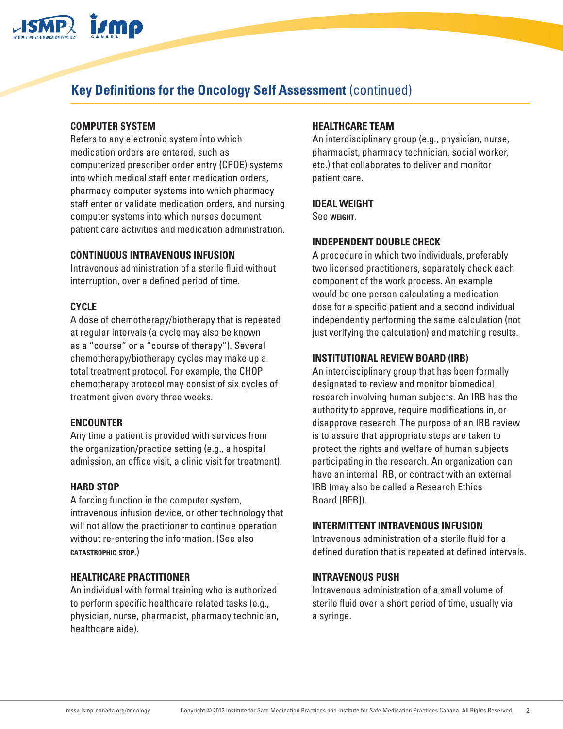

# **Key Definitions for the Oncology Self Assessment** (continued)

## **COMPUTER SYSTEM**

Refers to any electronic system into which medication orders are entered, such as computerized prescriber order entry (CPOE) systems into which medical staff enter medication orders, pharmacy computer systems into which pharmacy staff enter or validate medication orders, and nursing computer systems into which nurses document patient care activities and medication administration.

## **CONTINUOUS INTRAVENOUS INFUSION**

Intravenous administration of a sterile fluid without interruption, over a defined period of time.

## **CYCLE**

A dose of chemotherapy/biotherapy that is repeated at regular intervals (a cycle may also be known as a "course" or a "course of therapy"). Several chemotherapy/biotherapy cycles may make up a total treatment protocol. For example, the CHOP chemotherapy protocol may consist of six cycles of treatment given every three weeks.

## **ENCOUNTER**

Any time a patient is provided with services from the organization/practice setting (e.g., a hospital admission, an office visit, a clinic visit for treatment).

## **HARD STOP**

A forcing function in the computer system, intravenous infusion device, or other technology that will not allow the practitioner to continue operation without re-entering the information. (See also **catastrophic stop**.)

## **HEALTHCARE PRACTITIONER**

An individual with formal training who is authorized to perform specific healthcare related tasks (e.g., physician, nurse, pharmacist, pharmacy technician, healthcare aide).

## **HEALTHCARE TEAM**

An interdisciplinary group (e.g., physician, nurse, pharmacist, pharmacy technician, social worker, etc.) that collaborates to deliver and monitor patient care.

## **IDEAL WEIGHT**

See **weight**.

## **INDEPENDENT DOUBLE CHECK**

A procedure in which two individuals, preferably two licensed practitioners, separately check each component of the work process. An example would be one person calculating a medication dose for a specific patient and a second individual independently performing the same calculation (not just verifying the calculation) and matching results.

## **INSTITUTIONAL REVIEW BOARD (IRB)**

An interdisciplinary group that has been formally designated to review and monitor biomedical research involving human subjects. An IRB has the authority to approve, require modifications in, or disapprove research. The purpose of an IRB review is to assure that appropriate steps are taken to protect the rights and welfare of human subjects participating in the research. An organization can have an internal IRB, or contract with an external IRB (may also be called a Research Ethics Board [REB]).

## **INTERMITTENT INTRAVENOUS INFUSION**

Intravenous administration of a sterile fluid for a defined duration that is repeated at defined intervals.

## **INTRAVENOUS PUSH**

Intravenous administration of a small volume of sterile fluid over a short period of time, usually via a syringe.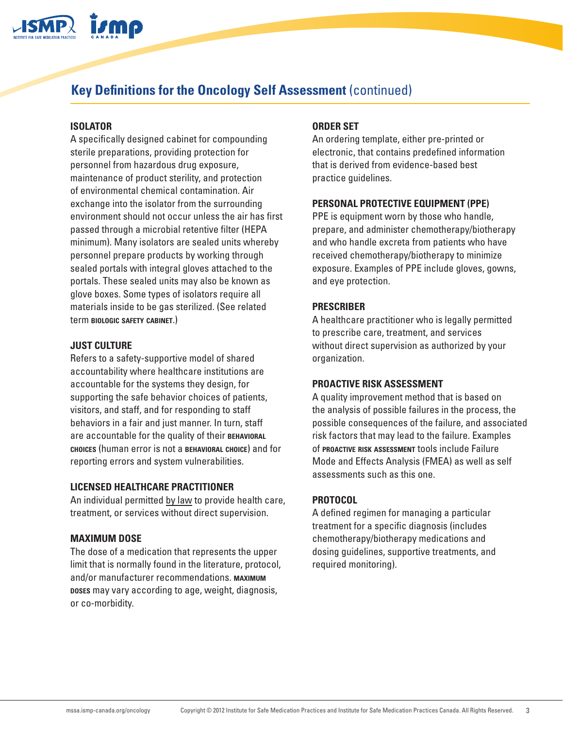

# **Key Definitions for the Oncology Self Assessment** (continued)

# **ISOLATOR**

A specifically designed cabinet for compounding sterile preparations, providing protection for personnel from hazardous drug exposure, maintenance of product sterility, and protection of environmental chemical contamination. Air exchange into the isolator from the surrounding environment should not occur unless the air has first passed through a microbial retentive filter (HEPA minimum). Many isolators are sealed units whereby personnel prepare products by working through sealed portals with integral gloves attached to the portals. These sealed units may also be known as glove boxes. Some types of isolators require all materials inside to be gas sterilized. (See related term **biologic safety cabinet**.)

# **JUST CULTURE**

Refers to a safety-supportive model of shared accountability where healthcare institutions are accountable for the systems they design, for supporting the safe behavior choices of patients, visitors, and staff, and for responding to staff behaviors in a fair and just manner. In turn, staff are accountable for the quality of their **behavioral choices** (human error is not a **behavioral choice**) and for reporting errors and system vulnerabilities.

## **LICENSED HEALTHCARE PRACTITIONER**

An individual permitted by law to provide health care, treatment, or services without direct supervision.

## **MAXIMUM DOSE**

The dose of a medication that represents the upper limit that is normally found in the literature, protocol, and/or manufacturer recommendations. **maximum doses** may vary according to age, weight, diagnosis, or co-morbidity.

# **ORDER SET**

An ordering template, either pre-printed or electronic, that contains predefined information that is derived from evidence-based best practice guidelines.

## **PERSONAL PROTECTIVE EQUIPMENT (PPE)**

PPE is equipment worn by those who handle, prepare, and administer chemotherapy/biotherapy and who handle excreta from patients who have received chemotherapy/biotherapy to minimize exposure. Examples of PPE include gloves, gowns, and eye protection.

## **PRESCRIBER**

A healthcare practitioner who is legally permitted to prescribe care, treatment, and services without direct supervision as authorized by your organization.

## **PROACTIVE RISK ASSESSMENT**

A quality improvement method that is based on the analysis of possible failures in the process, the possible consequences of the failure, and associated risk factors that may lead to the failure. Examples of **proactive risk assessment** tools include Failure Mode and Effects Analysis (FMEA) as well as self assessments such as this one.

## **PROTOCOL**

A defined regimen for managing a particular treatment for a specific diagnosis (includes chemotherapy/biotherapy medications and dosing guidelines, supportive treatments, and required monitoring).